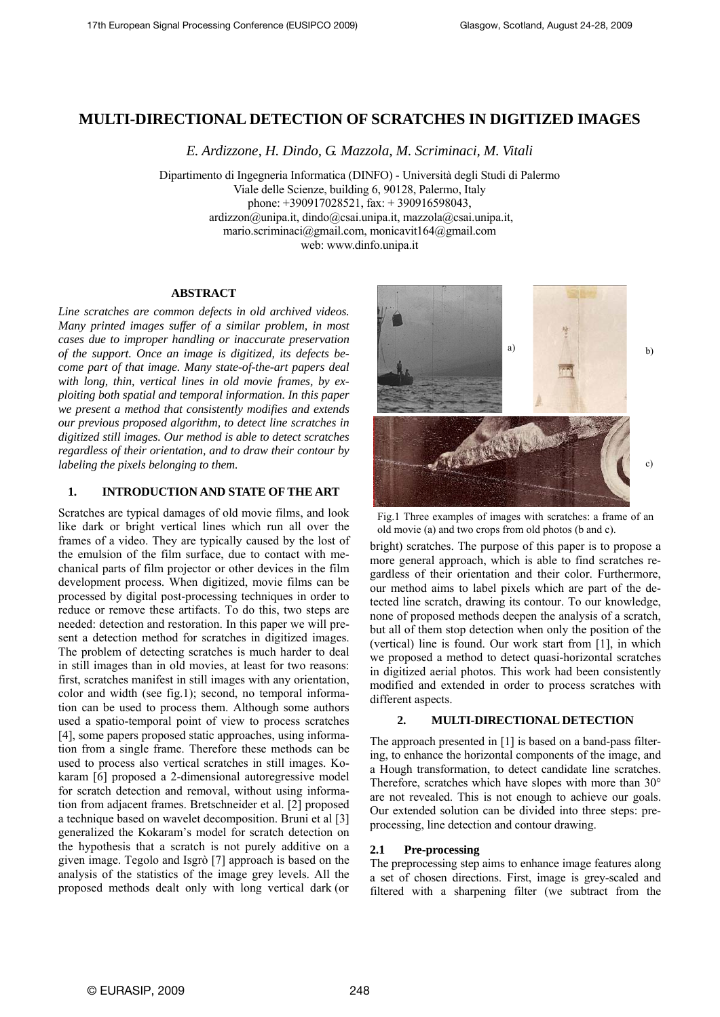# **MULTI-DIRECTIONAL DETECTION OF SCRATCHES IN DIGITIZED IMAGES**

*E. Ardizzone, H. Dindo, G. Mazzola, M. Scriminaci, M. Vitali* 

Dipartimento di Ingegneria Informatica (DINFO) - Università degli Studi di Palermo Viale delle Scienze, building 6, 90128, Palermo, Italy phone: +390917028521, fax: + 390916598043, ardizzon@unipa.it, dindo@csai.unipa.it, mazzola@csai.unipa.it, mario.scriminaci@gmail.com, monicavit164@gmail.com web: www.dinfo.unipa.it

#### **ABSTRACT**

*Line scratches are common defects in old archived videos. Many printed images suffer of a similar problem, in most cases due to improper handling or inaccurate preservation of the support. Once an image is digitized, its defects become part of that image. Many state-of-the-art papers deal with long, thin, vertical lines in old movie frames, by exploiting both spatial and temporal information. In this paper we present a method that consistently modifies and extends our previous proposed algorithm, to detect line scratches in digitized still images. Our method is able to detect scratches regardless of their orientation, and to draw their contour by labeling the pixels belonging to them.* 

# **1. INTRODUCTION AND STATE OF THE ART**

Scratches are typical damages of old movie films, and look like dark or bright vertical lines which run all over the frames of a video. They are typically caused by the lost of the emulsion of the film surface, due to contact with mechanical parts of film projector or other devices in the film development process. When digitized, movie films can be processed by digital post-processing techniques in order to reduce or remove these artifacts. To do this, two steps are needed: detection and restoration. In this paper we will present a detection method for scratches in digitized images. The problem of detecting scratches is much harder to deal in still images than in old movies, at least for two reasons: first, scratches manifest in still images with any orientation, color and width (see fig.1); second, no temporal information can be used to process them. Although some authors used a spatio-temporal point of view to process scratches [4], some papers proposed static approaches, using information from a single frame. Therefore these methods can be used to process also vertical scratches in still images. Kokaram [6] proposed a 2-dimensional autoregressive model for scratch detection and removal, without using information from adjacent frames. Bretschneider et al. [2] proposed a technique based on wavelet decomposition. Bruni et al [3] generalized the Kokaram's model for scratch detection on the hypothesis that a scratch is not purely additive on a given image. Tegolo and Isgrò [7] approach is based on the analysis of the statistics of the image grey levels. All the proposed methods dealt only with long vertical dark (or



Fig.1 Three examples of images with scratches: a frame of an old movie (a) and two crops from old photos (b and c).

bright) scratches. The purpose of this paper is to propose a more general approach, which is able to find scratches regardless of their orientation and their color. Furthermore, our method aims to label pixels which are part of the detected line scratch, drawing its contour. To our knowledge, none of proposed methods deepen the analysis of a scratch, but all of them stop detection when only the position of the (vertical) line is found. Our work start from [1], in which we proposed a method to detect quasi-horizontal scratches in digitized aerial photos. This work had been consistently modified and extended in order to process scratches with different aspects.

## **2. MULTI-DIRECTIONAL DETECTION**

The approach presented in [1] is based on a band-pass filtering, to enhance the horizontal components of the image, and a Hough transformation, to detect candidate line scratches. Therefore, scratches which have slopes with more than 30° are not revealed. This is not enough to achieve our goals. Our extended solution can be divided into three steps: preprocessing, line detection and contour drawing.

### **2.1 Pre-processing**

The preprocessing step aims to enhance image features along a set of chosen directions. First, image is grey-scaled and filtered with a sharpening filter (we subtract from the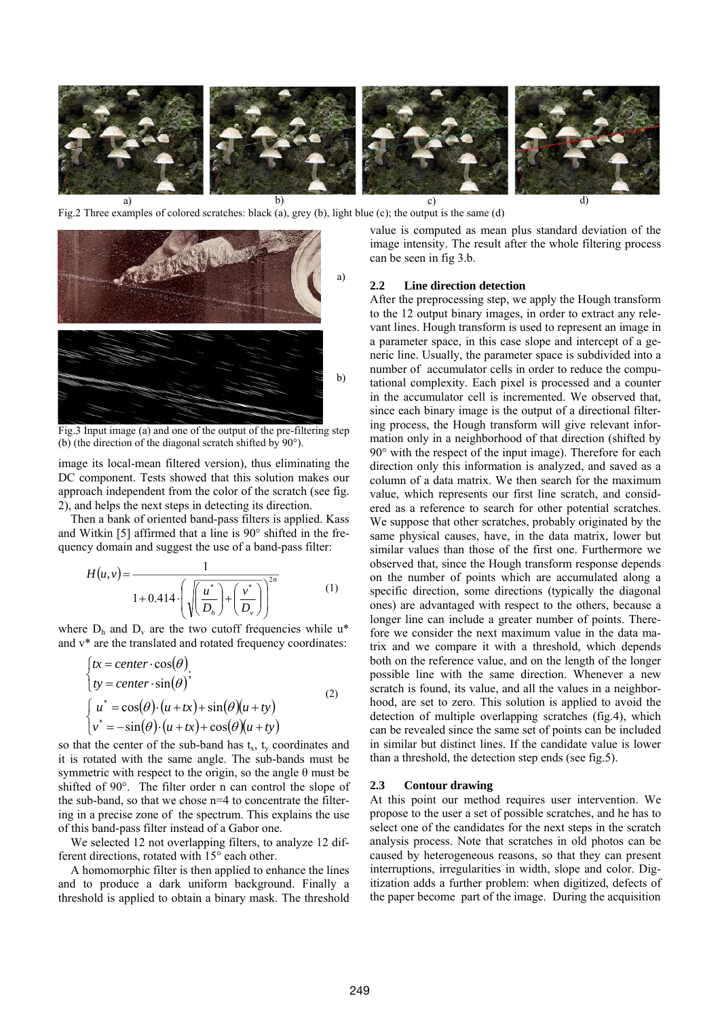

Fig.2 Three examples of colored scratches: black (a), grey (b), light blue (c); the output is the same (d)



Fig.3 Input image (a) and one of the output of the pre-filtering step (b) (the direction of the diagonal scratch shifted by 90°).

image its local-mean filtered version), thus eliminating the DC component. Tests showed that this solution makes our approach independent from the color of the scratch (see fig. 2), and helps the next steps in detecting its direction.

Then a bank of oriented band-pass filters is applied. Kass and Witkin [5] affirmed that a line is 90° shifted in the frequency domain and suggest the use of a band-pass filter:

$$
H(u, v) = \frac{1}{1 + 0.414 \cdot \left( \sqrt{\left(\frac{u^*}{D_h}\right) + \left(\frac{v^*}{D_v}\right)} \right)^{2n}}
$$
(1)

where  $D_h$  and  $D_v$  are the two cutoff frequencies while u<sup>\*</sup> and v\* are the translated and rotated frequency coordinates:

$$
\begin{cases}\ntx = center \cdot \cos(\theta) \\
ty = center \cdot \sin(\theta)'\n\end{cases}
$$
\n
$$
\begin{cases}\nu^* = \cos(\theta) \cdot (u + tx) + \sin(\theta)(u + ty) \\
v^* = -\sin(\theta) \cdot (u + tx) + \cos(\theta)(u + ty)\n\end{cases}
$$
\n(2)

so that the center of the sub-band has  $t<sub>x</sub>$ ,  $t<sub>y</sub>$  coordinates and it is rotated with the same angle. The sub-bands must be symmetric with respect to the origin, so the angle  $\theta$  must be shifted of 90°. The filter order n can control the slope of the sub-band, so that we chose n=4 to concentrate the filtering in a precise zone of the spectrum. This explains the use of this band-pass filter instead of a Gabor one.

We selected 12 not overlapping filters, to analyze 12 different directions, rotated with 15° each other.

A homomorphic filter is then applied to enhance the lines and to produce a dark uniform background. Finally a threshold is applied to obtain a binary mask. The threshold

value is computed as mean plus standard deviation of the image intensity. The result after the whole filtering process can be seen in fig 3.b.

## **2.2 Line direction detection**

After the preprocessing step, we apply the Hough transform to the 12 output binary images, in order to extract any relevant lines. Hough transform is used to represent an image in a parameter space, in this case slope and intercept of a generic line. Usually, the parameter space is subdivided into a number of accumulator cells in order to reduce the computational complexity. Each pixel is processed and a counter in the accumulator cell is incremented. We observed that, since each binary image is the output of a directional filtering process, the Hough transform will give relevant information only in a neighborhood of that direction (shifted by 90° with the respect of the input image). Therefore for each direction only this information is analyzed, and saved as a column of a data matrix. We then search for the maximum value, which represents our first line scratch, and considered as a reference to search for other potential scratches. We suppose that other scratches, probably originated by the same physical causes, have, in the data matrix, lower but similar values than those of the first one. Furthermore we observed that, since the Hough transform response depends on the number of points which are accumulated along a specific direction, some directions (typically the diagonal ones) are advantaged with respect to the others, because a longer line can include a greater number of points. Therefore we consider the next maximum value in the data matrix and we compare it with a threshold, which depends both on the reference value, and on the length of the longer possible line with the same direction. Whenever a new scratch is found, its value, and all the values in a neighborhood, are set to zero. This solution is applied to avoid the detection of multiple overlapping scratches (fig.4), which can be revealed since the same set of points can be included in similar but distinct lines. If the candidate value is lower than a threshold, the detection step ends (see fig.5).

#### **2.3 Contour drawing**

At this point our method requires user intervention. We propose to the user a set of possible scratches, and he has to select one of the candidates for the next steps in the scratch analysis process. Note that scratches in old photos can be caused by heterogeneous reasons, so that they can present interruptions, irregularities in width, slope and color. Digitization adds a further problem: when digitized, defects of the paper become part of the image. During the acquisition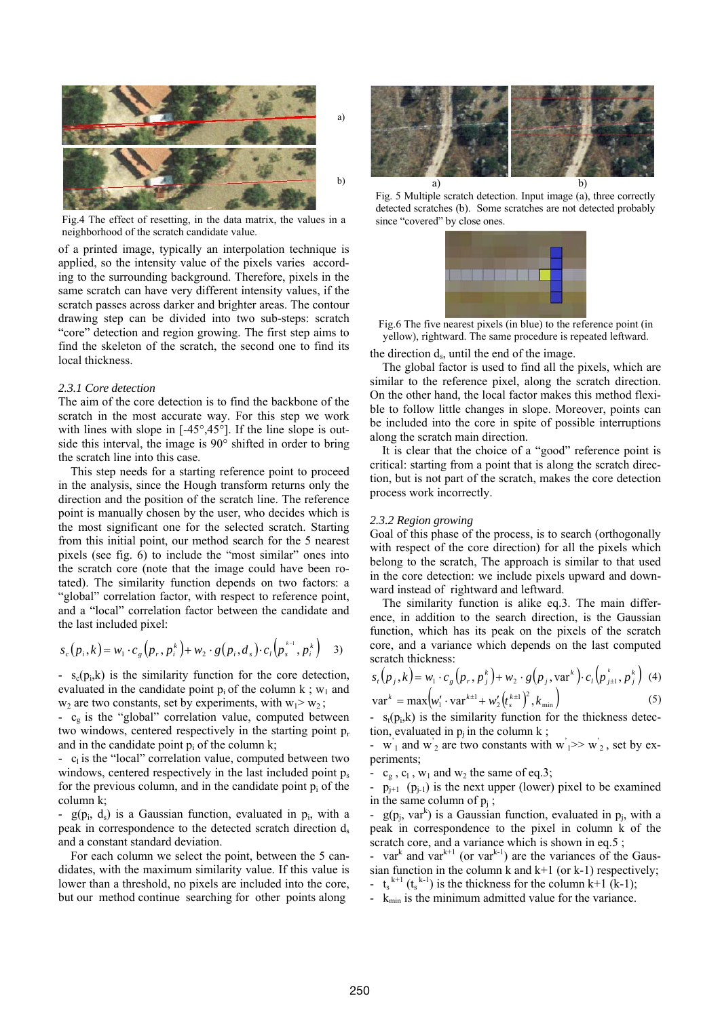

a)

Fig.4 The effect of resetting, in the data matrix, the values in a neighborhood of the scratch candidate value.

of a printed image, typically an interpolation technique is applied, so the intensity value of the pixels varies according to the surrounding background. Therefore, pixels in the same scratch can have very different intensity values, if the scratch passes across darker and brighter areas. The contour drawing step can be divided into two sub-steps: scratch "core" detection and region growing. The first step aims to find the skeleton of the scratch, the second one to find its local thickness.

### *2.3.1 Core detection*

The aim of the core detection is to find the backbone of the scratch in the most accurate way. For this step we work with lines with slope in [-45°, 45°]. If the line slope is outside this interval, the image is 90° shifted in order to bring the scratch line into this case.

This step needs for a starting reference point to proceed in the analysis, since the Hough transform returns only the direction and the position of the scratch line. The reference point is manually chosen by the user, who decides which is the most significant one for the selected scratch. Starting from this initial point, our method search for the 5 nearest pixels (see fig. 6) to include the "most similar" ones into the scratch core (note that the image could have been rotated). The similarity function depends on two factors: a "global" correlation factor, with respect to reference point, and a "local" correlation factor between the candidate and the last included pixel:

$$
s_c(p_i, k) = w_1 \cdot c_g(p_r, p_i^k) + w_2 \cdot g(p_i, d_s) \cdot c_l(p_s^{k-1}, p_i^k) \quad 3)
$$

 $-$  s<sub>c</sub>(p<sub>i</sub>,k) is the similarity function for the core detection, evaluated in the candidate point  $p_i$  of the column k;  $w_1$  and  $w_2$  are two constants, set by experiments, with  $w_1 > w_2$ ;

-  $c_g$  is the "global" correlation value, computed between two windows, centered respectively in the starting point  $p_r$ and in the candidate point  $p_i$  of the column k;

-  $c_1$  is the "local" correlation value, computed between two windows, centered respectively in the last included point  $p_s$ for the previous column, and in the candidate point  $p_i$  of the column k;

 $g(p_i, d_s)$  is a Gaussian function, evaluated in  $p_i$ , with a peak in correspondence to the detected scratch direction  $d_s$ and a constant standard deviation.

For each column we select the point, between the 5 candidates, with the maximum similarity value. If this value is lower than a threshold, no pixels are included into the core, but our method continue searching for other points along



Fig. 5 Multiple scratch detection. Input image (a), three correctly detected scratches (b). Some scratches are not detected probably since "covered" by close ones.



Fig.6 The five nearest pixels (in blue) to the reference point (in yellow), rightward. The same procedure is repeated leftward.

the direction ds, until the end of the image.

The global factor is used to find all the pixels, which are similar to the reference pixel, along the scratch direction. On the other hand, the local factor makes this method flexible to follow little changes in slope. Moreover, points can be included into the core in spite of possible interruptions along the scratch main direction.

It is clear that the choice of a "good" reference point is critical: starting from a point that is along the scratch direction, but is not part of the scratch, makes the core detection process work incorrectly.

#### *2.3.2 Region growing*

Goal of this phase of the process, is to search (orthogonally with respect of the core direction) for all the pixels which belong to the scratch, The approach is similar to that used in the core detection: we include pixels upward and downward instead of rightward and leftward.

The similarity function is alike eq.3. The main difference, in addition to the search direction, is the Gaussian function, which has its peak on the pixels of the scratch core, and a variance which depends on the last computed scratch thickness:

$$
s_{t}(p_{j}, k) = w_{1} \cdot c_{g}(p_{r}, p_{j}^{k}) + w_{2} \cdot g(p_{j}, \text{var}^{k}) \cdot c_{t}(p_{j+1}^{k}, p_{j}^{k}) \tag{4}
$$

$$
\text{var}^k = \max \Big( w_1' \cdot \text{var}^{k+1} + w_2' \Big( t_s^{k+1} \Big)^2, k_{\min} \Big) \tag{5}
$$

 $s_t(p_i, k)$  is the similarity function for the thickness detec-tion, evaluated in  $p_i$  in the column k;

-  $w_1$  and  $w_2$  are two constants with  $w_1 \gg w_2$ , set by experiments;

-  $c_g$ ,  $c_l$ ,  $w_1$  and  $w_2$  the same of eq.3;

-  $p_{j+1}$  ( $p_{j-1}$ ) is the next upper (lower) pixel to be examined in the same column of  $p_i$ ;

-  $g(p_i, var^k)$  is a Gaussian function, evaluated in  $p_i$ , with a peak in correspondence to the pixel in column k of the scratch core, and a variance which is shown in eq.5;

- var<sup>k</sup> and var<sup>k+1</sup> (or var<sup>k-1</sup>) are the variances of the Gaussian function in the column k and  $k+1$  (or k-1) respectively; -  $t_s^{k+1}$  ( $t_s^{k-1}$ ) is the thickness for the column k+1 (k-1);

-  $k_{\text{min}}$  is the minimum admitted value for the variance.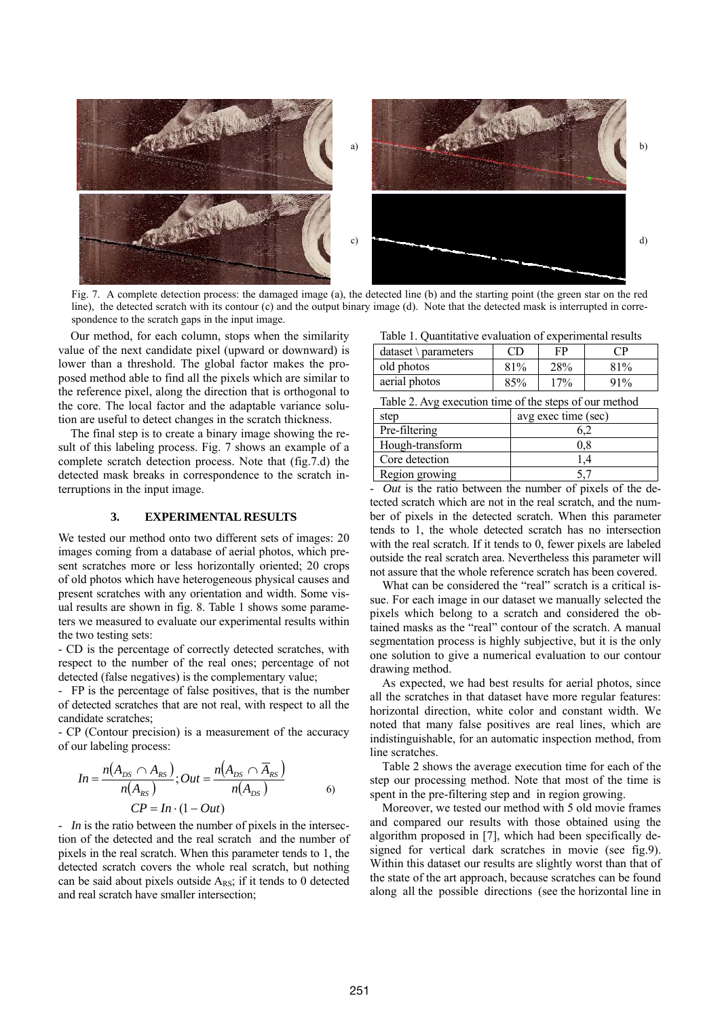

Fig. 7. A complete detection process: the damaged image (a), the detected line (b) and the starting point (the green star on the red line), the detected scratch with its contour (c) and the output binary image (d). Note that the detected mask is interrupted in correspondence to the scratch gaps in the input image.

Our method, for each column, stops when the similarity value of the next candidate pixel (upward or downward) is lower than a threshold. The global factor makes the proposed method able to find all the pixels which are similar to the reference pixel, along the direction that is orthogonal to the core. The local factor and the adaptable variance solution are useful to detect changes in the scratch thickness.

The final step is to create a binary image showing the result of this labeling process. Fig. 7 shows an example of a complete scratch detection process. Note that (fig.7.d) the detected mask breaks in correspondence to the scratch interruptions in the input image.

#### **3. EXPERIMENTAL RESULTS**

We tested our method onto two different sets of images: 20 images coming from a database of aerial photos, which present scratches more or less horizontally oriented; 20 crops of old photos which have heterogeneous physical causes and present scratches with any orientation and width. Some visual results are shown in fig. 8. Table 1 shows some parameters we measured to evaluate our experimental results within the two testing sets:

- CD is the percentage of correctly detected scratches, with respect to the number of the real ones; percentage of not detected (false negatives) is the complementary value;

- FP is the percentage of false positives, that is the number of detected scratches that are not real, with respect to all the candidate scratches;

- CP (Contour precision) is a measurement of the accuracy of our labeling process:

$$
In = \frac{n(A_{DS} \cap A_{RS})}{n(A_{RS})}; Out = \frac{n(A_{DS} \cap A_{RS})}{n(A_{DS})}
$$

- *In* is the ratio between the number of pixels in the intersection of the detected and the real scratch and the number of pixels in the real scratch. When this parameter tends to 1, the detected scratch covers the whole real scratch, but nothing can be said about pixels outside  $A_{RS}$ ; if it tends to 0 detected and real scratch have smaller intersection;

| Table 1. Quantitative evaluation of experimental results |  |
|----------------------------------------------------------|--|
|----------------------------------------------------------|--|

| $dataset \setminus parameters$ | CD  | FP  | P   |
|--------------------------------|-----|-----|-----|
| old photos                     | 81% | 28% | 81% |
| aerial photos                  | 85% | 17% | 91% |

| Table 2. Avg execution time of the steps of our method |  |
|--------------------------------------------------------|--|
|--------------------------------------------------------|--|

| step            | avg exec time (sec) |
|-----------------|---------------------|
| Pre-filtering   |                     |
| Hough-transform |                     |
| Core detection  |                     |
| Region growing  |                     |

- *Out* is the ratio between the number of pixels of the detected scratch which are not in the real scratch, and the number of pixels in the detected scratch. When this parameter tends to 1, the whole detected scratch has no intersection with the real scratch. If it tends to 0, fewer pixels are labeled outside the real scratch area. Nevertheless this parameter will not assure that the whole reference scratch has been covered.

What can be considered the "real" scratch is a critical issue. For each image in our dataset we manually selected the pixels which belong to a scratch and considered the obtained masks as the "real" contour of the scratch. A manual segmentation process is highly subjective, but it is the only one solution to give a numerical evaluation to our contour drawing method.

As expected, we had best results for aerial photos, since all the scratches in that dataset have more regular features: horizontal direction, white color and constant width. We noted that many false positives are real lines, which are indistinguishable, for an automatic inspection method, from line scratches.

Table 2 shows the average execution time for each of the step our processing method. Note that most of the time is spent in the pre-filtering step and in region growing.

Moreover, we tested our method with 5 old movie frames and compared our results with those obtained using the algorithm proposed in [7], which had been specifically designed for vertical dark scratches in movie (see fig.9). Within this dataset our results are slightly worst than that of the state of the art approach, because scratches can be found along all the possible directions (see the horizontal line in